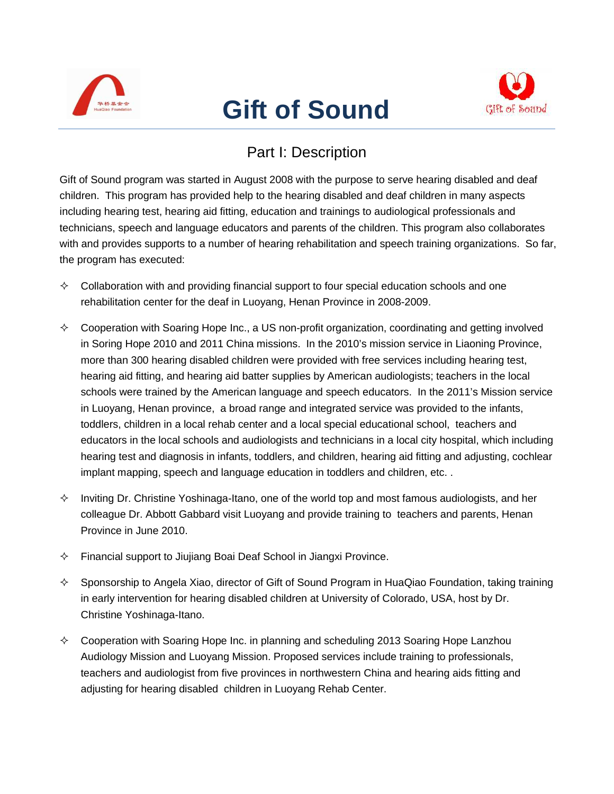

## **Gift of Sound**



## Part I: Description

Gift of Sound program was started in August 2008 with the purpose to serve hearing disabled and deaf children. This program has provided help to the hearing disabled and deaf children in many aspects including hearing test, hearing aid fitting, education and trainings to audiological professionals and technicians, speech and language educators and parents of the children. This program also collaborates with and provides supports to a number of hearing rehabilitation and speech training organizations. So far, the program has executed:

- $\Diamond$  Collaboration with and providing financial support to four special education schools and one rehabilitation center for the deaf in Luoyang, Henan Province in 2008-2009.
- $\diamond$  Cooperation with Soaring Hope Inc., a US non-profit organization, coordinating and getting involved in Soring Hope 2010 and 2011 China missions. In the 2010's mission service in Liaoning Province, more than 300 hearing disabled children were provided with free services including hearing test, hearing aid fitting, and hearing aid batter supplies by American audiologists; teachers in the local schools were trained by the American language and speech educators. In the 2011's Mission service in Luoyang, Henan province, a broad range and integrated service was provided to the infants, toddlers, children in a local rehab center and a local special educational school, teachers and educators in the local schools and audiologists and technicians in a local city hospital, which including hearing test and diagnosis in infants, toddlers, and children, hearing aid fitting and adjusting, cochlear implant mapping, speech and language education in toddlers and children, etc. .
- $\Diamond$  Inviting Dr. Christine Yoshinaga-Itano, one of the world top and most famous audiologists, and her colleague Dr. Abbott Gabbard visit Luoyang and provide training to teachers and parents, Henan Province in June 2010.
- $\Diamond$  Financial support to Jiujiang Boai Deaf School in Jiangxi Province.
- $\diamond$  Sponsorship to Angela Xiao, director of Gift of Sound Program in HuaQiao Foundation, taking training in early intervention for hearing disabled children at University of Colorado, USA, host by Dr. Christine Yoshinaga-Itano.
- $\Diamond$  Cooperation with Soaring Hope Inc. in planning and scheduling 2013 Soaring Hope Lanzhou Audiology Mission and Luoyang Mission. Proposed services include training to professionals, teachers and audiologist from five provinces in northwestern China and hearing aids fitting and adjusting for hearing disabled children in Luoyang Rehab Center.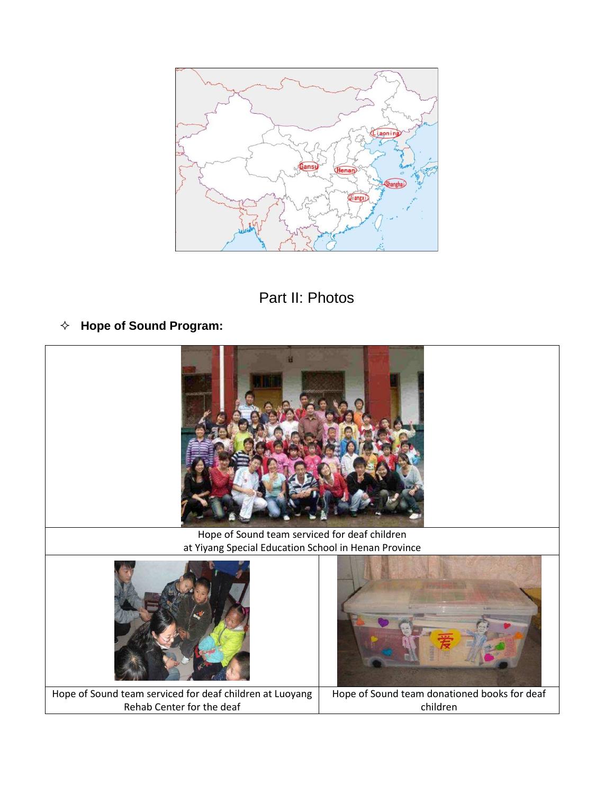



**Hope of Sound Program:**

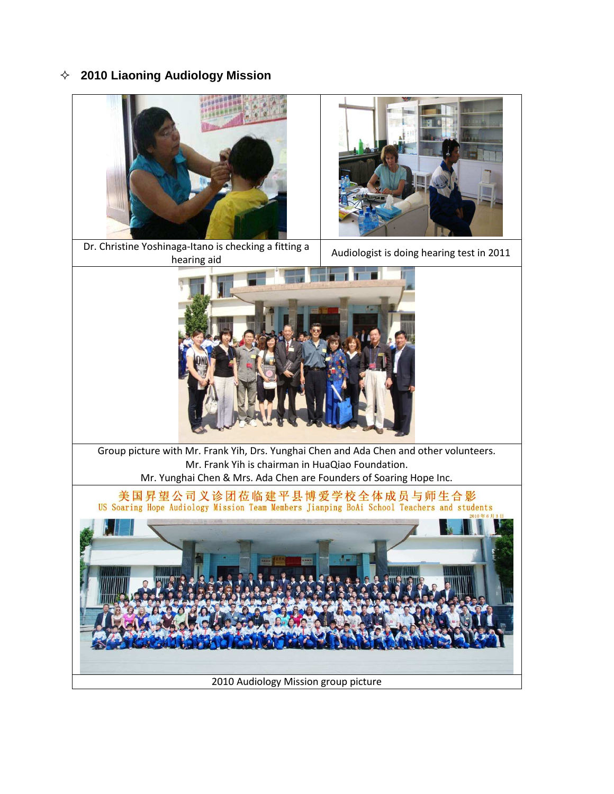**2010 Liaoning Audiology Mission**